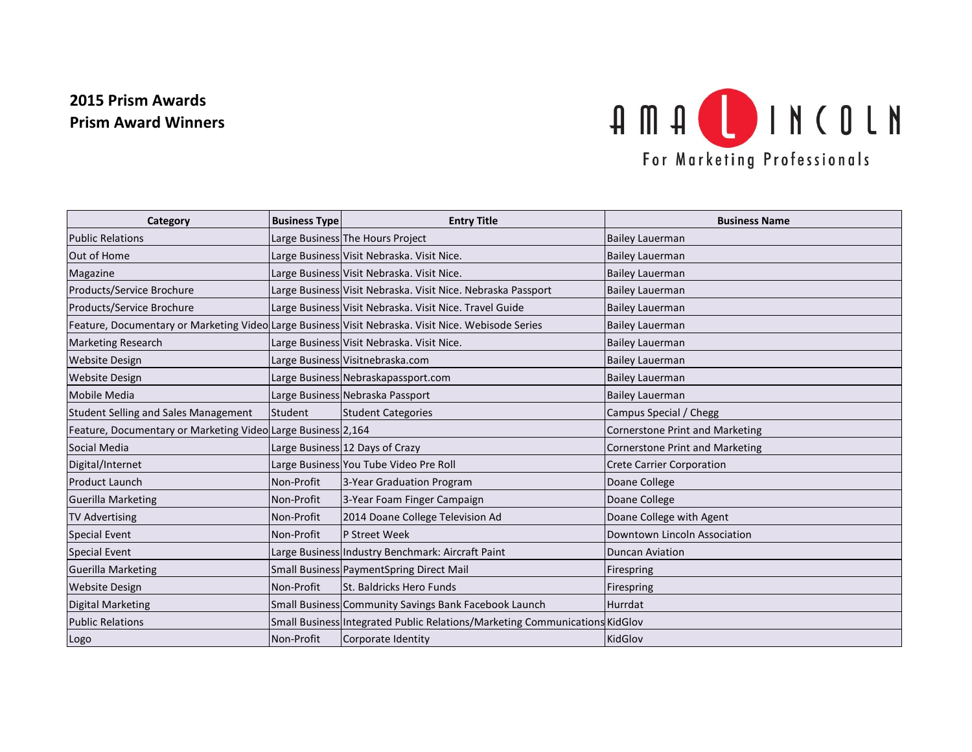## **2015 Prism Awards Prism Award Winners**



| Category                                                     | <b>Business Type</b> | <b>Entry Title</b>                                                                                 | <b>Business Name</b>                   |
|--------------------------------------------------------------|----------------------|----------------------------------------------------------------------------------------------------|----------------------------------------|
| <b>Public Relations</b>                                      |                      | Large Business The Hours Project                                                                   | <b>Bailey Lauerman</b>                 |
| Out of Home                                                  |                      | Large Business Visit Nebraska. Visit Nice.                                                         | <b>Bailey Lauerman</b>                 |
| Magazine                                                     |                      | Large Business Visit Nebraska. Visit Nice.                                                         | <b>Bailey Lauerman</b>                 |
| Products/Service Brochure                                    |                      | Large Business Visit Nebraska. Visit Nice. Nebraska Passport                                       | <b>Bailey Lauerman</b>                 |
| Products/Service Brochure                                    |                      | Large Business Visit Nebraska. Visit Nice. Travel Guide                                            | <b>Bailey Lauerman</b>                 |
|                                                              |                      | Feature, Documentary or Marketing Video Large Business Visit Nebraska. Visit Nice. Webisode Series | <b>Bailey Lauerman</b>                 |
| <b>Marketing Research</b>                                    |                      | Large Business Visit Nebraska. Visit Nice.                                                         | <b>Bailey Lauerman</b>                 |
| <b>Website Design</b>                                        |                      | Large Business Visitnebraska.com                                                                   | <b>Bailey Lauerman</b>                 |
| <b>Website Design</b>                                        |                      | Large Business Nebraskapassport.com                                                                | <b>Bailey Lauerman</b>                 |
| Mobile Media                                                 |                      | Large Business Nebraska Passport                                                                   | <b>Bailey Lauerman</b>                 |
| <b>Student Selling and Sales Management</b>                  | Student              | <b>Student Categories</b>                                                                          | Campus Special / Chegg                 |
| Feature, Documentary or Marketing Video Large Business 2,164 |                      |                                                                                                    | <b>Cornerstone Print and Marketing</b> |
| Social Media                                                 |                      | Large Business 12 Days of Crazy                                                                    | <b>Cornerstone Print and Marketing</b> |
| Digital/Internet                                             |                      | Large Business You Tube Video Pre Roll                                                             | <b>Crete Carrier Corporation</b>       |
| <b>Product Launch</b>                                        | Non-Profit           | 3-Year Graduation Program                                                                          | Doane College                          |
| <b>Guerilla Marketing</b>                                    | Non-Profit           | 3-Year Foam Finger Campaign                                                                        | Doane College                          |
| <b>TV Advertising</b>                                        | Non-Profit           | 2014 Doane College Television Ad                                                                   | Doane College with Agent               |
| <b>Special Event</b>                                         | Non-Profit           | P Street Week                                                                                      | Downtown Lincoln Association           |
| <b>Special Event</b>                                         |                      | Large Business Industry Benchmark: Aircraft Paint                                                  | <b>Duncan Aviation</b>                 |
| <b>Guerilla Marketing</b>                                    |                      | Small Business PaymentSpring Direct Mail                                                           | Firespring                             |
| <b>Website Design</b>                                        | Non-Profit           | St. Baldricks Hero Funds                                                                           | Firespring                             |
| <b>Digital Marketing</b>                                     |                      | Small Business Community Savings Bank Facebook Launch                                              | Hurrdat                                |
| <b>Public Relations</b>                                      |                      | Small Business Integrated Public Relations/Marketing Communications KidGlov                        |                                        |
| Logo                                                         | Non-Profit           | Corporate Identity                                                                                 | KidGlov                                |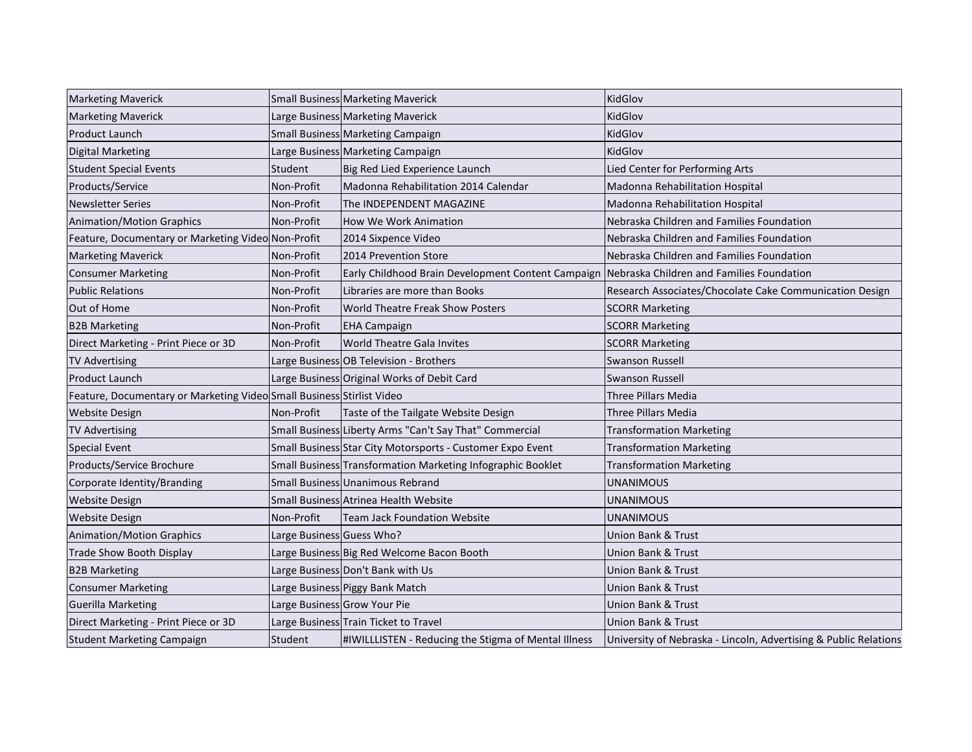| <b>Marketing Maverick</b>                                             |                           | Small Business Marketing Maverick                           | KidGlov                                                          |
|-----------------------------------------------------------------------|---------------------------|-------------------------------------------------------------|------------------------------------------------------------------|
| <b>Marketing Maverick</b>                                             |                           | Large Business Marketing Maverick                           | KidGlov                                                          |
| <b>Product Launch</b>                                                 |                           | Small Business Marketing Campaign                           | KidGlov                                                          |
| <b>Digital Marketing</b>                                              |                           | Large Business Marketing Campaign                           | KidGlov                                                          |
| <b>Student Special Events</b>                                         | Student                   | Big Red Lied Experience Launch                              | Lied Center for Performing Arts                                  |
| Products/Service                                                      | Non-Profit                | Madonna Rehabilitation 2014 Calendar                        | Madonna Rehabilitation Hospital                                  |
| <b>Newsletter Series</b>                                              | Non-Profit                | The INDEPENDENT MAGAZINE                                    | <b>Madonna Rehabilitation Hospital</b>                           |
| <b>Animation/Motion Graphics</b>                                      | Non-Profit                | How We Work Animation                                       | Nebraska Children and Families Foundation                        |
| Feature, Documentary or Marketing Video Non-Profit                    |                           | 2014 Sixpence Video                                         | Nebraska Children and Families Foundation                        |
| <b>Marketing Maverick</b>                                             | Non-Profit                | 2014 Prevention Store                                       | Nebraska Children and Families Foundation                        |
| <b>Consumer Marketing</b>                                             | Non-Profit                | Early Childhood Brain Development Content Campaign          | Nebraska Children and Families Foundation                        |
| <b>Public Relations</b>                                               | Non-Profit                | Libraries are more than Books                               | Research Associates/Chocolate Cake Communication Design          |
| Out of Home                                                           | Non-Profit                | <b>World Theatre Freak Show Posters</b>                     | <b>SCORR Marketing</b>                                           |
| <b>B2B Marketing</b>                                                  | Non-Profit                | <b>EHA Campaign</b>                                         | <b>SCORR Marketing</b>                                           |
| Direct Marketing - Print Piece or 3D                                  | Non-Profit                | <b>World Theatre Gala Invites</b>                           | <b>SCORR Marketing</b>                                           |
| <b>TV Advertising</b>                                                 |                           | Large Business OB Television - Brothers                     | <b>Swanson Russell</b>                                           |
| Product Launch                                                        |                           | Large Business Original Works of Debit Card                 | <b>Swanson Russell</b>                                           |
| Feature, Documentary or Marketing Video Small Business Stirlist Video |                           |                                                             | <b>Three Pillars Media</b>                                       |
| <b>Website Design</b>                                                 | Non-Profit                | Taste of the Tailgate Website Design                        | Three Pillars Media                                              |
| <b>TV Advertising</b>                                                 |                           | Small Business Liberty Arms "Can't Say That" Commercial     | <b>Transformation Marketing</b>                                  |
| Special Event                                                         |                           | Small Business Star City Motorsports - Customer Expo Event  | <b>Transformation Marketing</b>                                  |
| Products/Service Brochure                                             |                           | Small Business Transformation Marketing Infographic Booklet | <b>Transformation Marketing</b>                                  |
| Corporate Identity/Branding                                           |                           | Small Business Unanimous Rebrand                            | <b>UNANIMOUS</b>                                                 |
| <b>Website Design</b>                                                 |                           | Small Business Atrinea Health Website                       | UNANIMOUS                                                        |
| <b>Website Design</b>                                                 | Non-Profit                | <b>Team Jack Foundation Website</b>                         | <b>UNANIMOUS</b>                                                 |
| <b>Animation/Motion Graphics</b>                                      | Large Business Guess Who? |                                                             | Union Bank & Trust                                               |
| <b>Trade Show Booth Display</b>                                       |                           | Large Business Big Red Welcome Bacon Booth                  | Union Bank & Trust                                               |
| <b>B2B Marketing</b>                                                  |                           | Large Business Don't Bank with Us                           | Union Bank & Trust                                               |
| <b>Consumer Marketing</b>                                             |                           | Large Business Piggy Bank Match                             | <b>Union Bank &amp; Trust</b>                                    |
| <b>Guerilla Marketing</b>                                             |                           | Large Business Grow Your Pie                                | <b>Union Bank &amp; Trust</b>                                    |
| Direct Marketing - Print Piece or 3D                                  |                           | Large Business Train Ticket to Travel                       | Union Bank & Trust                                               |
| <b>Student Marketing Campaign</b>                                     | Student                   | #IWILLLISTEN - Reducing the Stigma of Mental Illness        | University of Nebraska - Lincoln, Advertising & Public Relations |
|                                                                       |                           |                                                             |                                                                  |